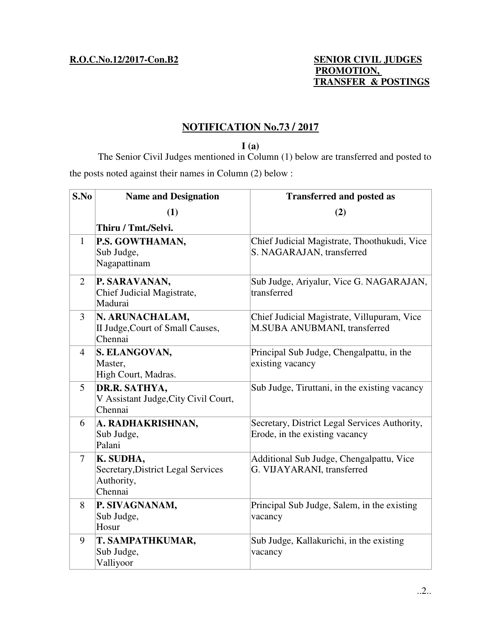## **R.O.C.No.12/2017-Con.B2 SENIOR CIVIL JUDGES PROMOTION, TRANSFER & POSTINGS**

# **NOTIFICATION No.73 / 2017**

**I (a)**  The Senior Civil Judges mentioned in Column (1) below are transferred and posted to the posts noted against their names in Column (2) below :

| S.No           | <b>Name and Designation</b>                                              | <b>Transferred and posted as</b>                                                |
|----------------|--------------------------------------------------------------------------|---------------------------------------------------------------------------------|
|                | (1)                                                                      | (2)                                                                             |
|                | Thiru / Tmt./Selvi.                                                      |                                                                                 |
| $\mathbf{1}$   | P.S. GOWTHAMAN,<br>Sub Judge,<br>Nagapattinam                            | Chief Judicial Magistrate, Thoothukudi, Vice<br>S. NAGARAJAN, transferred       |
| 2              | P. SARAVANAN,<br>Chief Judicial Magistrate,<br>Madurai                   | Sub Judge, Ariyalur, Vice G. NAGARAJAN,<br>transferred                          |
| $\overline{3}$ | N. ARUNACHALAM,<br>II Judge, Court of Small Causes,<br>Chennai           | Chief Judicial Magistrate, Villupuram, Vice<br>M.SUBA ANUBMANI, transferred     |
| 4              | S. ELANGOVAN,<br>Master,<br>High Court, Madras.                          | Principal Sub Judge, Chengalpattu, in the<br>existing vacancy                   |
| 5 <sup>5</sup> | DR.R. SATHYA,<br>V Assistant Judge, City Civil Court,<br>Chennai         | Sub Judge, Tiruttani, in the existing vacancy                                   |
| 6              | A. RADHAKRISHNAN,<br>Sub Judge,<br>Palani                                | Secretary, District Legal Services Authority,<br>Erode, in the existing vacancy |
| $\tau$         | K. SUDHA,<br>Secretary, District Legal Services<br>Authority,<br>Chennai | Additional Sub Judge, Chengalpattu, Vice<br>G. VIJAYARANI, transferred          |
| 8              | P. SIVAGNANAM,<br>Sub Judge,<br>Hosur                                    | Principal Sub Judge, Salem, in the existing<br>vacancy                          |
| 9              | T. SAMPATHKUMAR,<br>Sub Judge,<br>Valliyoor                              | Sub Judge, Kallakurichi, in the existing<br>vacancy                             |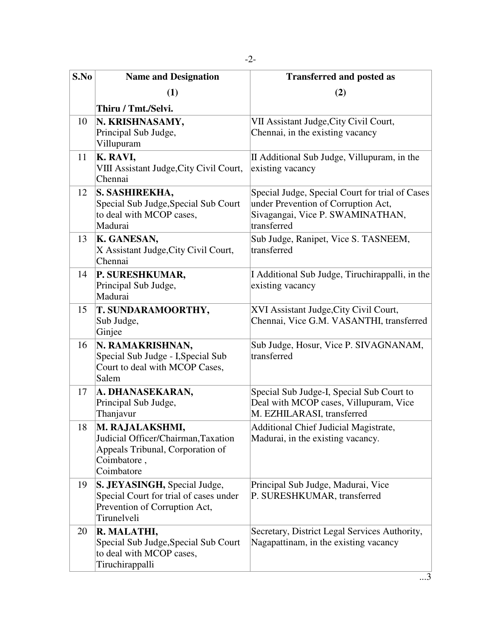| S.No | <b>Name and Designation</b>                                                                                             | <b>Transferred and posted as</b>                                                                                                          |
|------|-------------------------------------------------------------------------------------------------------------------------|-------------------------------------------------------------------------------------------------------------------------------------------|
|      | (1)                                                                                                                     | (2)                                                                                                                                       |
|      | Thiru / Tmt./Selvi.                                                                                                     |                                                                                                                                           |
| 10   | N. KRISHNASAMY,<br>Principal Sub Judge,<br>Villupuram                                                                   | VII Assistant Judge, City Civil Court,<br>Chennai, in the existing vacancy                                                                |
| 11   | K. RAVI,<br>VIII Assistant Judge, City Civil Court,<br>Chennai                                                          | II Additional Sub Judge, Villupuram, in the<br>existing vacancy                                                                           |
| 12   | S. SASHIREKHA,<br>Special Sub Judge, Special Sub Court<br>to deal with MCOP cases,<br>Madurai                           | Special Judge, Special Court for trial of Cases<br>under Prevention of Corruption Act,<br>Sivagangai, Vice P. SWAMINATHAN,<br>transferred |
| 13   | K. GANESAN,<br>X Assistant Judge, City Civil Court,<br>Chennai                                                          | Sub Judge, Ranipet, Vice S. TASNEEM,<br>transferred                                                                                       |
| 14   | P. SURESHKUMAR,<br>Principal Sub Judge,<br>Madurai                                                                      | I Additional Sub Judge, Tiruchirappalli, in the<br>existing vacancy                                                                       |
| 15   | T. SUNDARAMOORTHY,<br>Sub Judge,<br>Ginjee                                                                              | XVI Assistant Judge, City Civil Court,<br>Chennai, Vice G.M. VASANTHI, transferred                                                        |
| 16   | N. RAMAKRISHNAN,<br>Special Sub Judge - I, Special Sub<br>Court to deal with MCOP Cases,<br>Salem                       | Sub Judge, Hosur, Vice P. SIVAGNANAM,<br>transferred                                                                                      |
| 17   | A. DHANASEKARAN,<br>Principal Sub Judge,<br>Thanjavur                                                                   | Special Sub Judge-I, Special Sub Court to<br>Deal with MCOP cases, Villupuram, Vice<br>M. EZHILARASI, transferred                         |
| 18   | M. RAJALAKSHMI,<br>Judicial Officer/Chairman, Taxation<br>Appeals Tribunal, Corporation of<br>Coimbatore,<br>Coimbatore | <b>Additional Chief Judicial Magistrate,</b><br>Madurai, in the existing vacancy.                                                         |
| 19   | S. JEYASINGH, Special Judge,<br>Special Court for trial of cases under<br>Prevention of Corruption Act,<br>Tirunelveli  | Principal Sub Judge, Madurai, Vice<br>P. SURESHKUMAR, transferred                                                                         |
| 20   | R. MALATHI,<br>Special Sub Judge, Special Sub Court<br>to deal with MCOP cases,<br>Tiruchirappalli                      | Secretary, District Legal Services Authority,<br>Nagapattinam, in the existing vacancy                                                    |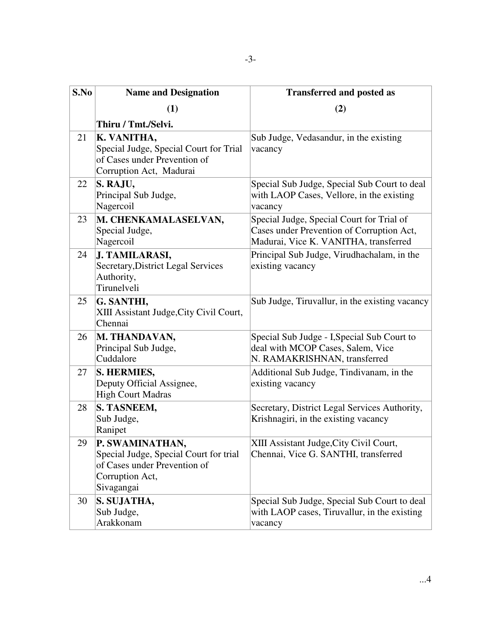| S.No | <b>Name and Designation</b>                                                                                                | <b>Transferred and posted as</b>                                                                                                |
|------|----------------------------------------------------------------------------------------------------------------------------|---------------------------------------------------------------------------------------------------------------------------------|
|      | (1)                                                                                                                        | (2)                                                                                                                             |
|      | Thiru / Tmt./Selvi.                                                                                                        |                                                                                                                                 |
| 21   | K. VANITHA,<br>Special Judge, Special Court for Trial<br>of Cases under Prevention of<br>Corruption Act, Madurai           | Sub Judge, Vedasandur, in the existing<br>vacancy                                                                               |
| 22   | S. RAJU,<br>Principal Sub Judge,<br>Nagercoil                                                                              | Special Sub Judge, Special Sub Court to deal<br>with LAOP Cases, Vellore, in the existing<br>vacancy                            |
| 23   | M. CHENKAMALASELVAN,<br>Special Judge,<br>Nagercoil                                                                        | Special Judge, Special Court for Trial of<br>Cases under Prevention of Corruption Act,<br>Madurai, Vice K. VANITHA, transferred |
| 24   | J. TAMILARASI,<br>Secretary, District Legal Services<br>Authority,<br>Tirunelveli                                          | Principal Sub Judge, Virudhachalam, in the<br>existing vacancy                                                                  |
| 25   | G. SANTHI,<br>XIII Assistant Judge, City Civil Court,<br>Chennai                                                           | Sub Judge, Tiruvallur, in the existing vacancy                                                                                  |
| 26   | M. THANDAVAN,<br>Principal Sub Judge,<br>Cuddalore                                                                         | Special Sub Judge - I, Special Sub Court to<br>deal with MCOP Cases, Salem, Vice<br>N. RAMAKRISHNAN, transferred                |
| 27   | S. HERMIES,<br>Deputy Official Assignee,<br><b>High Court Madras</b>                                                       | Additional Sub Judge, Tindivanam, in the<br>existing vacancy                                                                    |
| 28   | S. TASNEEM,<br>Sub Judge,<br>Ranipet                                                                                       | Secretary, District Legal Services Authority,<br>Krishnagiri, in the existing vacancy                                           |
| 29   | P. SWAMINATHAN,<br>Special Judge, Special Court for trial<br>of Cases under Prevention of<br>Corruption Act,<br>Sivagangai | XIII Assistant Judge, City Civil Court,<br>Chennai, Vice G. SANTHI, transferred                                                 |
| 30   | S. SUJATHA,<br>Sub Judge,<br>Arakkonam                                                                                     | Special Sub Judge, Special Sub Court to deal<br>with LAOP cases, Tiruvallur, in the existing<br>vacancy                         |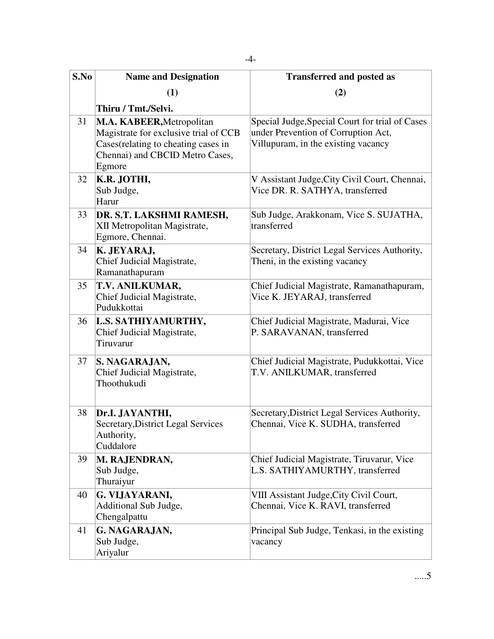-4-

| S.No | <b>Name and Designation</b>                                                                                                                            | <b>Transferred and posted as</b>                                                                                              |
|------|--------------------------------------------------------------------------------------------------------------------------------------------------------|-------------------------------------------------------------------------------------------------------------------------------|
|      | (1)                                                                                                                                                    | (2)                                                                                                                           |
|      | Thiru / Tmt./Selvi.                                                                                                                                    |                                                                                                                               |
| 31   | M.A. KABEER, Metropolitan<br>Magistrate for exclusive trial of CCB<br>Cases(relating to cheating cases in<br>Chennai) and CBCID Metro Cases,<br>Egmore | Special Judge, Special Court for trial of Cases<br>under Prevention of Corruption Act,<br>Villupuram, in the existing vacancy |
| 32   | K.R. JOTHI,<br>Sub Judge,<br>Harur                                                                                                                     | V Assistant Judge, City Civil Court, Chennai,<br>Vice DR. R. SATHYA, transferred                                              |
| 33   | DR. S.T. LAKSHMI RAMESH,<br>XII Metropolitan Magistrate,<br>Egmore, Chennai.                                                                           | Sub Judge, Arakkonam, Vice S. SUJATHA,<br>transferred                                                                         |
| 34   | K. JEYARAJ,<br>Chief Judicial Magistrate,<br>Ramanathapuram                                                                                            | Secretary, District Legal Services Authority,<br>Theni, in the existing vacancy                                               |
| 35   | T.V. ANILKUMAR,<br>Chief Judicial Magistrate,<br>Pudukkottai                                                                                           | Chief Judicial Magistrate, Ramanathapuram,<br>Vice K. JEYARAJ, transferred                                                    |
| 36   | L.S. SATHIYAMURTHY,<br>Chief Judicial Magistrate,<br>Tiruvarur                                                                                         | Chief Judicial Magistrate, Madurai, Vice<br>P. SARAVANAN, transferred                                                         |
| 37   | S. NAGARAJAN,<br>Chief Judicial Magistrate,<br>Thoothukudi                                                                                             | Chief Judicial Magistrate, Pudukkottai, Vice<br>T.V. ANILKUMAR, transferred                                                   |
| 38   | Dr.I. JAYANTHI,<br>Secretary, District Legal Services<br>Authority,<br>Cuddalore                                                                       | Secretary, District Legal Services Authority,<br>Chennai, Vice K. SUDHA, transferred                                          |
| 39   | M. RAJENDRAN,<br>Sub Judge,<br>Thuraiyur                                                                                                               | Chief Judicial Magistrate, Tiruvarur, Vice<br>L.S. SATHIYAMURTHY, transferred                                                 |
| 40   | G. VIJAYARANI,<br>Additional Sub Judge,<br>Chengalpattu                                                                                                | VIII Assistant Judge, City Civil Court,<br>Chennai, Vice K. RAVI, transferred                                                 |
| 41   | G. NAGARAJAN,<br>Sub Judge,<br>Ariyalur                                                                                                                | Principal Sub Judge, Tenkasi, in the existing<br>vacancy                                                                      |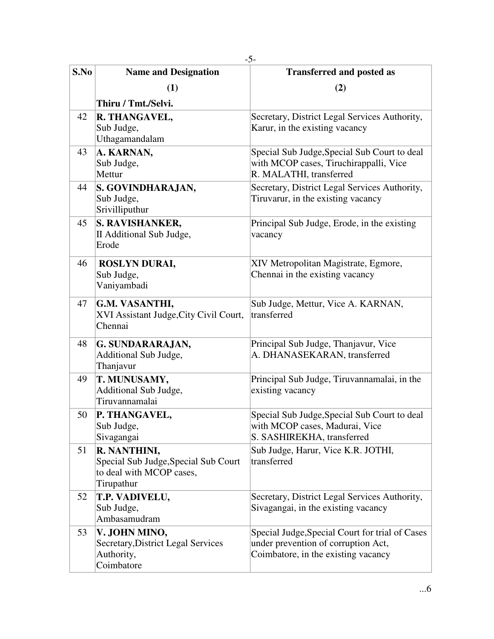| S.No | <b>Name and Designation</b>                                                                    | <b>Transferred and posted as</b>                                                                                              |
|------|------------------------------------------------------------------------------------------------|-------------------------------------------------------------------------------------------------------------------------------|
|      | (1)                                                                                            | (2)                                                                                                                           |
|      | Thiru / Tmt./Selvi.                                                                            |                                                                                                                               |
| 42   | R. THANGAVEL,<br>Sub Judge,<br>Uthagamandalam                                                  | Secretary, District Legal Services Authority,<br>Karur, in the existing vacancy                                               |
| 43   | A. KARNAN,<br>Sub Judge,<br>Mettur                                                             | Special Sub Judge, Special Sub Court to deal<br>with MCOP cases, Tiruchirappalli, Vice<br>R. MALATHI, transferred             |
| 44   | S. GOVINDHARAJAN,<br>Sub Judge,<br>Srivilliputhur                                              | Secretary, District Legal Services Authority,<br>Tiruvarur, in the existing vacancy                                           |
| 45   | S. RAVISHANKER,<br>II Additional Sub Judge,<br>Erode                                           | Principal Sub Judge, Erode, in the existing<br>vacancy                                                                        |
| 46   | <b>ROSLYN DURAI,</b><br>Sub Judge,<br>Vaniyambadi                                              | XIV Metropolitan Magistrate, Egmore,<br>Chennai in the existing vacancy                                                       |
| 47   | G.M. VASANTHI,<br>XVI Assistant Judge, City Civil Court,<br>Chennai                            | Sub Judge, Mettur, Vice A. KARNAN,<br>transferred                                                                             |
| 48   | G. SUNDARARAJAN,<br>Additional Sub Judge,<br>Thanjavur                                         | Principal Sub Judge, Thanjavur, Vice<br>A. DHANASEKARAN, transferred                                                          |
| 49   | T. MUNUSAMY,<br>Additional Sub Judge,<br>Tiruvannamalai                                        | Principal Sub Judge, Tiruvannamalai, in the<br>existing vacancy                                                               |
| 50   | P. THANGAVEL,<br>Sub Judge,<br>Sivagangai                                                      | Special Sub Judge, Special Sub Court to deal<br>with MCOP cases, Madurai, Vice<br>S. SASHIREKHA, transferred                  |
| 51   | R. NANTHINI,<br>Special Sub Judge, Special Sub Court<br>to deal with MCOP cases,<br>Tirupathur | Sub Judge, Harur, Vice K.R. JOTHI,<br>transferred                                                                             |
| 52   | T.P. VADIVELU,<br>Sub Judge,<br>Ambasamudram                                                   | Secretary, District Legal Services Authority,<br>Sivagangai, in the existing vacancy                                          |
| 53   | V. JOHN MINO,<br>Secretary, District Legal Services<br>Authority,<br>Coimbatore                | Special Judge, Special Court for trial of Cases<br>under prevention of corruption Act,<br>Coimbatore, in the existing vacancy |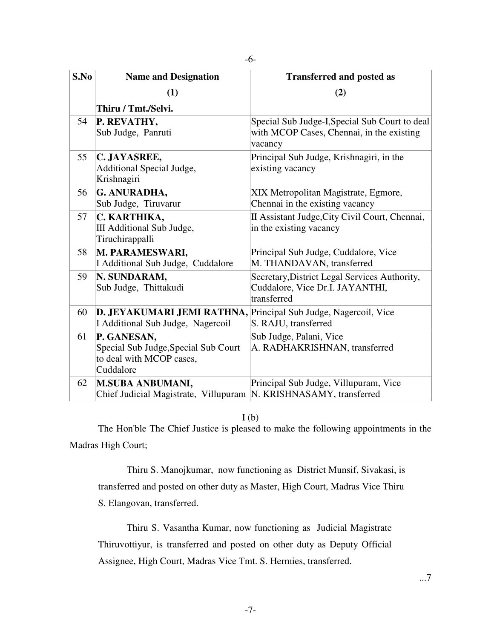| S.No | <b>Name and Designation</b>                                                                          | <b>Transferred and posted as</b>                                                                       |
|------|------------------------------------------------------------------------------------------------------|--------------------------------------------------------------------------------------------------------|
|      | (1)                                                                                                  | (2)                                                                                                    |
|      | Thiru / Tmt./Selvi.                                                                                  |                                                                                                        |
| 54   | P. REVATHY,<br>Sub Judge, Panruti                                                                    | Special Sub Judge-I, Special Sub Court to deal<br>with MCOP Cases, Chennai, in the existing<br>vacancy |
| 55   | C. JAYASREE,<br>Additional Special Judge,<br>Krishnagiri                                             | Principal Sub Judge, Krishnagiri, in the<br>existing vacancy                                           |
| 56   | G. ANURADHA,<br>Sub Judge, Tiruvarur                                                                 | XIX Metropolitan Magistrate, Egmore,<br>Chennai in the existing vacancy                                |
| 57   | C. KARTHIKA,<br>III Additional Sub Judge,<br>Tiruchirappalli                                         | II Assistant Judge, City Civil Court, Chennai,<br>in the existing vacancy                              |
| 58   | M. PARAMESWARI,<br>I Additional Sub Judge, Cuddalore                                                 | Principal Sub Judge, Cuddalore, Vice<br>M. THANDAVAN, transferred                                      |
| 59   | N. SUNDARAM,<br>Sub Judge, Thittakudi                                                                | Secretary, District Legal Services Authority,<br>Cuddalore, Vice Dr.I. JAYANTHI,<br>transferred        |
| 60   | D. JEYAKUMARI JEMI RATHNA, Principal Sub Judge, Nagercoil, Vice<br>I Additional Sub Judge, Nagercoil | S. RAJU, transferred                                                                                   |
| 61   | P. GANESAN,<br>Special Sub Judge, Special Sub Court<br>to deal with MCOP cases,<br>Cuddalore         | Sub Judge, Palani, Vice<br>A. RADHAKRISHNAN, transferred                                               |
| 62   | <b>M.SUBA ANBUMANI,</b><br>Chief Judicial Magistrate, Villupuram  N. KRISHNASAMY, transferred        | Principal Sub Judge, Villupuram, Vice                                                                  |

## $I(b)$

 The Hon'ble The Chief Justice is pleased to make the following appointments in the Madras High Court;

 Thiru S. Manojkumar, now functioning as District Munsif, Sivakasi, is transferred and posted on other duty as Master, High Court, Madras Vice Thiru S. Elangovan, transferred.

 Thiru S. Vasantha Kumar, now functioning as Judicial Magistrate Thiruvottiyur, is transferred and posted on other duty as Deputy Official Assignee, High Court, Madras Vice Tmt. S. Hermies, transferred.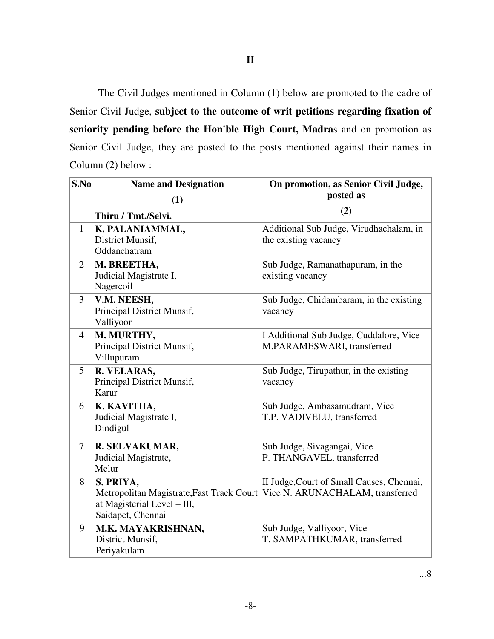The Civil Judges mentioned in Column (1) below are promoted to the cadre of Senior Civil Judge, **subject to the outcome of writ petitions regarding fixation of** 

**seniority pending before the Hon'ble High Court, Madra**s and on promotion as Senior Civil Judge, they are posted to the posts mentioned against their names in Column (2) below :

| S.No            | <b>Name and Designation</b>                                                                                                                 | On promotion, as Senior Civil Judge,                                  |
|-----------------|---------------------------------------------------------------------------------------------------------------------------------------------|-----------------------------------------------------------------------|
|                 | (1)                                                                                                                                         | posted as                                                             |
|                 | Thiru / Tmt./Selvi.                                                                                                                         | (2)                                                                   |
| $\mathbf{1}$    | K. PALANIAMMAL,<br>District Munsif,<br>Oddanchatram                                                                                         | Additional Sub Judge, Virudhachalam, in<br>the existing vacancy       |
| 2               | M. BREETHA,<br>Judicial Magistrate I,<br>Nagercoil                                                                                          | Sub Judge, Ramanathapuram, in the<br>existing vacancy                 |
| 3               | V.M. NEESH,<br>Principal District Munsif,<br>Valliyoor                                                                                      | Sub Judge, Chidambaram, in the existing<br>vacancy                    |
| $\overline{4}$  | M. MURTHY,<br>Principal District Munsif,<br>Villupuram                                                                                      | I Additional Sub Judge, Cuddalore, Vice<br>M.PARAMESWARI, transferred |
| $5\overline{)}$ | R. VELARAS,<br>Principal District Munsif,<br>Karur                                                                                          | Sub Judge, Tirupathur, in the existing<br>vacancy                     |
| 6               | K. KAVITHA,<br>Judicial Magistrate I,<br>Dindigul                                                                                           | Sub Judge, Ambasamudram, Vice<br>T.P. VADIVELU, transferred           |
| 7               | R. SELVAKUMAR,<br>Judicial Magistrate,<br>Melur                                                                                             | Sub Judge, Sivagangai, Vice<br>P. THANGAVEL, transferred              |
| 8               | S. PRIYA,<br>Metropolitan Magistrate, Fast Track Court Vice N. ARUNACHALAM, transferred<br>at Magisterial Level - III,<br>Saidapet, Chennai | II Judge, Court of Small Causes, Chennai,                             |
| 9               | M.K. MAYAKRISHNAN,<br>District Munsif,<br>Periyakulam                                                                                       | Sub Judge, Valliyoor, Vice<br>T. SAMPATHKUMAR, transferred            |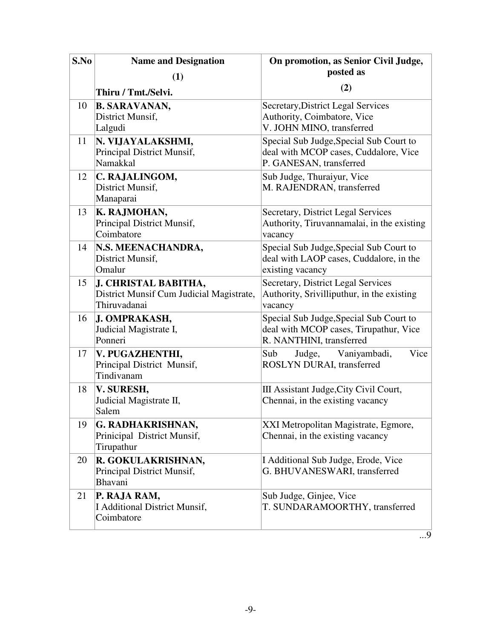| S.No | <b>Name and Designation</b>                                                      | On promotion, as Senior Civil Judge,                                                                          |
|------|----------------------------------------------------------------------------------|---------------------------------------------------------------------------------------------------------------|
|      | (1)                                                                              | posted as                                                                                                     |
|      | Thiru / Tmt./Selvi.                                                              | (2)                                                                                                           |
| 10   | <b>B. SARAVANAN,</b><br>District Munsif,<br>Lalgudi                              | <b>Secretary, District Legal Services</b><br>Authority, Coimbatore, Vice<br>V. JOHN MINO, transferred         |
| 11   | N. VIJAYALAKSHMI,<br>Principal District Munsif,<br>Namakkal                      | Special Sub Judge, Special Sub Court to<br>deal with MCOP cases, Cuddalore, Vice<br>P. GANESAN, transferred   |
| 12   | C. RAJALINGOM,<br>District Munsif,<br>Manaparai                                  | Sub Judge, Thuraiyur, Vice<br>M. RAJENDRAN, transferred                                                       |
| 13   | K. RAJMOHAN,<br>Principal District Munsif,<br>Coimbatore                         | Secretary, District Legal Services<br>Authority, Tiruvannamalai, in the existing<br>vacancy                   |
| 14   | N.S. MEENACHANDRA,<br>District Munsif,<br>Omalur                                 | Special Sub Judge, Special Sub Court to<br>deal with LAOP cases, Cuddalore, in the<br>existing vacancy        |
| 15   | J. CHRISTAL BABITHA,<br>District Munsif Cum Judicial Magistrate,<br>Thiruvadanai | Secretary, District Legal Services<br>Authority, Srivilliputhur, in the existing<br>vacancy                   |
| 16   | J. OMPRAKASH,<br>Judicial Magistrate I,<br>Ponneri                               | Special Sub Judge, Special Sub Court to<br>deal with MCOP cases, Tirupathur, Vice<br>R. NANTHINI, transferred |
| 17   | V. PUGAZHENTHI,<br>Principal District Munsif,<br>Tindivanam                      | Sub<br>Vaniyambadi,<br>Vice<br>Judge,<br>ROSLYN DURAI, transferred                                            |
| 18   | V. SURESH,<br>Judicial Magistrate II,<br>Salem                                   | III Assistant Judge, City Civil Court,<br>Chennai, in the existing vacancy                                    |
| 19   | G. RADHAKRISHNAN,<br>Prinicipal District Munsif,<br>Tirupathur                   | XXI Metropolitan Magistrate, Egmore,<br>Chennai, in the existing vacancy                                      |
| 20   | R. GOKULAKRISHNAN,<br>Principal District Munsif,<br>Bhavani                      | I Additional Sub Judge, Erode, Vice<br>G. BHUVANESWARI, transferred                                           |
| 21   | P. RAJA RAM,<br><b>I Additional District Munsif,</b><br>Coimbatore               | Sub Judge, Ginjee, Vice<br>T. SUNDARAMOORTHY, transferred                                                     |

...9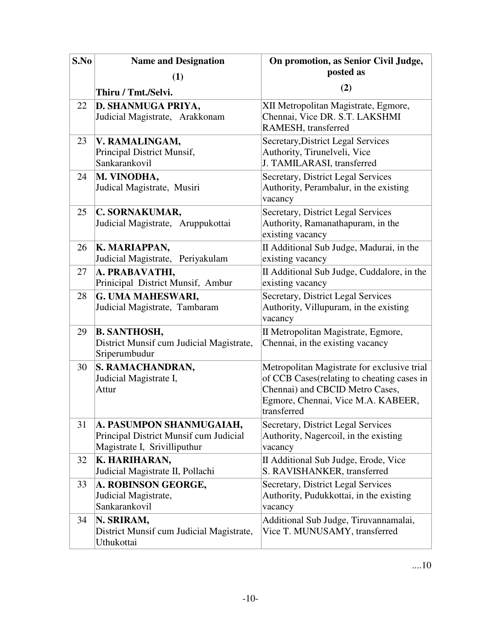| S.No | <b>Name and Designation</b>                                                                        | On promotion, as Senior Civil Judge,                                                                                                                                               |
|------|----------------------------------------------------------------------------------------------------|------------------------------------------------------------------------------------------------------------------------------------------------------------------------------------|
|      | (1)                                                                                                | posted as                                                                                                                                                                          |
|      | Thiru / Tmt./Selvi.                                                                                | (2)                                                                                                                                                                                |
| 22   | D. SHANMUGA PRIYA,<br>Judicial Magistrate, Arakkonam                                               | XII Metropolitan Magistrate, Egmore,<br>Chennai, Vice DR. S.T. LAKSHMI<br>RAMESH, transferred                                                                                      |
| 23   | V. RAMALINGAM,<br>Principal District Munsif,<br>Sankarankovil                                      | Secretary, District Legal Services<br>Authority, Tirunelveli, Vice<br>J. TAMILARASI, transferred                                                                                   |
| 24   | M. VINODHA,<br>Judical Magistrate, Musiri                                                          | Secretary, District Legal Services<br>Authority, Perambalur, in the existing<br>vacancy                                                                                            |
| 25   | C. SORNAKUMAR,<br>Judicial Magistrate, Aruppukottai                                                | <b>Secretary, District Legal Services</b><br>Authority, Ramanathapuram, in the<br>existing vacancy                                                                                 |
| 26   | K. MARIAPPAN,<br>Judicial Magistrate, Periyakulam                                                  | II Additional Sub Judge, Madurai, in the<br>existing vacancy                                                                                                                       |
| 27   | A. PRABAVATHI,<br>Prinicipal District Munsif, Ambur                                                | II Additional Sub Judge, Cuddalore, in the<br>existing vacancy                                                                                                                     |
| 28   | G. UMA MAHESWARI,<br>Judicial Magistrate, Tambaram                                                 | Secretary, District Legal Services<br>Authority, Villupuram, in the existing<br>vacancy                                                                                            |
| 29   | <b>B. SANTHOSH,</b><br>District Munsif cum Judicial Magistrate,<br>Sriperumbudur                   | II Metropolitan Magistrate, Egmore,<br>Chennai, in the existing vacancy                                                                                                            |
| 30   | S. RAMACHANDRAN,<br>Judicial Magistrate I,<br>Attur                                                | Metropolitan Magistrate for exclusive trial<br>of CCB Cases (relating to cheating cases in<br>Chennai) and CBCID Metro Cases,<br>Egmore, Chennai, Vice M.A. KABEER,<br>transferred |
| 31   | A. PASUMPON SHANMUGAIAH,<br>Principal District Munsif cum Judicial<br>Magistrate I, Srivilliputhur | Secretary, District Legal Services<br>Authority, Nagercoil, in the existing<br>vacancy                                                                                             |
| 32   | K. HARIHARAN,<br>Judicial Magistrate II, Pollachi                                                  | II Additional Sub Judge, Erode, Vice<br>S. RAVISHANKER, transferred                                                                                                                |
| 33   | A. ROBINSON GEORGE,<br>Judicial Magistrate,<br>Sankarankovil                                       | Secretary, District Legal Services<br>Authority, Pudukkottai, in the existing<br>vacancy                                                                                           |
| 34   | N. SRIRAM,<br>District Munsif cum Judicial Magistrate,<br>Uthukottai                               | Additional Sub Judge, Tiruvannamalai,<br>Vice T. MUNUSAMY, transferred                                                                                                             |

....10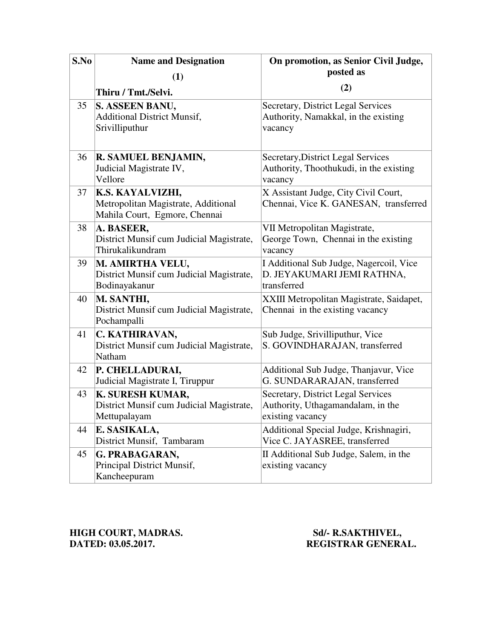| S.No | <b>Name and Designation</b>                                                              | On promotion, as Senior Civil Judge,                                                        |
|------|------------------------------------------------------------------------------------------|---------------------------------------------------------------------------------------------|
|      | (1)                                                                                      | posted as                                                                                   |
|      | Thiru / Tmt./Selvi.                                                                      | (2)                                                                                         |
| 35   | S. ASSEEN BANU,<br><b>Additional District Munsif,</b><br>Srivilliputhur                  | Secretary, District Legal Services<br>Authority, Namakkal, in the existing<br>vacancy       |
| 36   | R. SAMUEL BENJAMIN,<br>Judicial Magistrate IV,<br>Vellore                                | Secretary, District Legal Services<br>Authority, Thoothukudi, in the existing<br>vacancy    |
| 37   | K.S. KAYALVIZHI,<br>Metropolitan Magistrate, Additional<br>Mahila Court, Egmore, Chennai | X Assistant Judge, City Civil Court,<br>Chennai, Vice K. GANESAN, transferred               |
| 38   | A. BASEER,<br>District Munsif cum Judicial Magistrate,<br>Thirukalikundram               | VII Metropolitan Magistrate,<br>George Town, Chennai in the existing<br>vacancy             |
| 39   | M. AMIRTHA VELU,<br>District Munsif cum Judicial Magistrate,<br>Bodinayakanur            | I Additional Sub Judge, Nagercoil, Vice<br>D. JEYAKUMARI JEMI RATHNA,<br>transferred        |
| 40   | M. SANTHI,<br>District Munsif cum Judicial Magistrate,<br>Pochampalli                    | XXIII Metropolitan Magistrate, Saidapet,<br>Chennai in the existing vacancy                 |
| 41   | C. KATHIRAVAN,<br>District Munsif cum Judicial Magistrate,<br>Natham                     | Sub Judge, Srivilliputhur, Vice<br>S. GOVINDHARAJAN, transferred                            |
| 42   | P. CHELLADURAI,<br>Judicial Magistrate I, Tiruppur                                       | Additional Sub Judge, Thanjavur, Vice<br>G. SUNDARARAJAN, transferred                       |
| 43   | K. SURESH KUMAR,<br>District Munsif cum Judicial Magistrate,<br>Mettupalayam             | Secretary, District Legal Services<br>Authority, Uthagamandalam, in the<br>existing vacancy |
| 44   | E. SASIKALA,<br>District Munsif, Tambaram                                                | Additional Special Judge, Krishnagiri,<br>Vice C. JAYASREE, transferred                     |
| 45   | G. PRABAGARAN,<br>Principal District Munsif,<br>Kancheepuram                             | II Additional Sub Judge, Salem, in the<br>existing vacancy                                  |

**HIGH COURT, MADRAS.** Sd/- R.SAKTHIVEL, **DATED: 03.05.2017. REGISTRAR GENERAL.**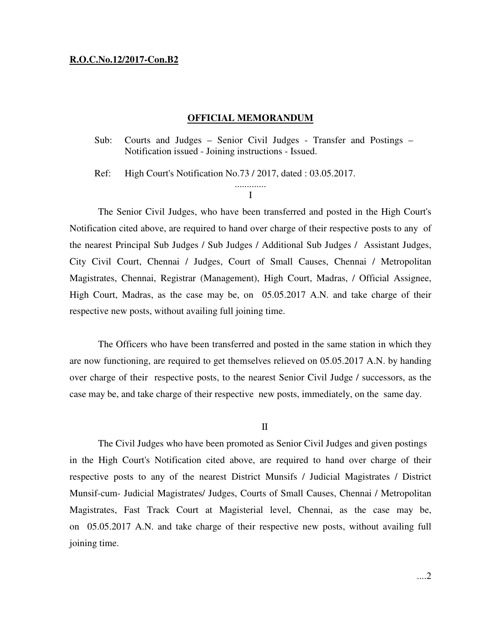### **R.O.C.No.12/2017-Con.B2**

#### **OFFICIAL MEMORANDUM**

Sub: Courts and Judges – Senior Civil Judges - Transfer and Postings – Notification issued - Joining instructions - Issued.

Ref: High Court's Notification No.73 / 2017, dated : 03.05.2017.

............. I

 The Senior Civil Judges, who have been transferred and posted in the High Court's Notification cited above, are required to hand over charge of their respective posts to any of the nearest Principal Sub Judges / Sub Judges / Additional Sub Judges / Assistant Judges, City Civil Court, Chennai / Judges, Court of Small Causes, Chennai / Metropolitan Magistrates, Chennai, Registrar (Management), High Court, Madras, / Official Assignee, High Court, Madras, as the case may be, on 05.05.2017 A.N. and take charge of their respective new posts, without availing full joining time.

 The Officers who have been transferred and posted in the same station in which they are now functioning, are required to get themselves relieved on 05.05.2017 A.N. by handing over charge of their respective posts, to the nearest Senior Civil Judge / successors, as the case may be, and take charge of their respective new posts, immediately, on the same day.

II

 The Civil Judges who have been promoted as Senior Civil Judges and given postings in the High Court's Notification cited above, are required to hand over charge of their respective posts to any of the nearest District Munsifs / Judicial Magistrates / District Munsif-cum- Judicial Magistrates/ Judges, Courts of Small Causes, Chennai / Metropolitan Magistrates, Fast Track Court at Magisterial level, Chennai, as the case may be, on 05.05.2017 A.N. and take charge of their respective new posts, without availing full joining time.